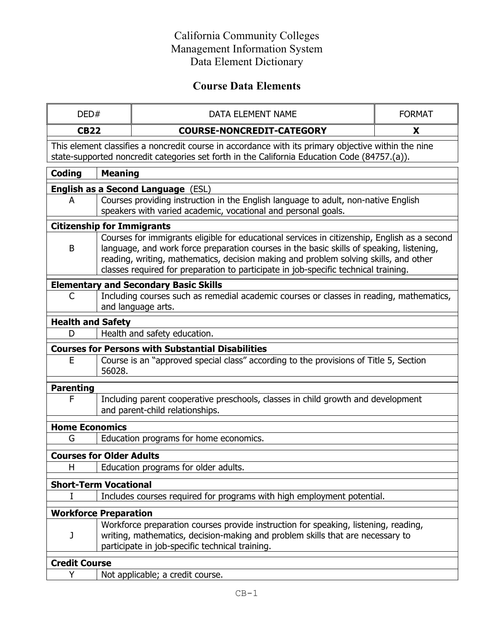# **Course Data Elements**

| DED#                                      |                                                                                                                                                                                                                                                                                                                                                                         | DATA ELEMENT NAME                                                                                                                                                                                                        | <b>FORMAT</b> |  |  |
|-------------------------------------------|-------------------------------------------------------------------------------------------------------------------------------------------------------------------------------------------------------------------------------------------------------------------------------------------------------------------------------------------------------------------------|--------------------------------------------------------------------------------------------------------------------------------------------------------------------------------------------------------------------------|---------------|--|--|
| <b>CB22</b>                               |                                                                                                                                                                                                                                                                                                                                                                         | <b>COURSE-NONCREDIT-CATEGORY</b>                                                                                                                                                                                         | X             |  |  |
|                                           |                                                                                                                                                                                                                                                                                                                                                                         | This element classifies a noncredit course in accordance with its primary objective within the nine<br>state-supported noncredit categories set forth in the California Education Code (84757.(a)).                      |               |  |  |
| Coding                                    | <b>Meaning</b>                                                                                                                                                                                                                                                                                                                                                          |                                                                                                                                                                                                                          |               |  |  |
| <b>English as a Second Language (ESL)</b> |                                                                                                                                                                                                                                                                                                                                                                         |                                                                                                                                                                                                                          |               |  |  |
| A                                         |                                                                                                                                                                                                                                                                                                                                                                         | Courses providing instruction in the English language to adult, non-native English<br>speakers with varied academic, vocational and personal goals.                                                                      |               |  |  |
| <b>Citizenship for Immigrants</b>         |                                                                                                                                                                                                                                                                                                                                                                         |                                                                                                                                                                                                                          |               |  |  |
| B                                         | Courses for immigrants eligible for educational services in citizenship, English as a second<br>language, and work force preparation courses in the basic skills of speaking, listening,<br>reading, writing, mathematics, decision making and problem solving skills, and other<br>classes required for preparation to participate in job-specific technical training. |                                                                                                                                                                                                                          |               |  |  |
|                                           |                                                                                                                                                                                                                                                                                                                                                                         | <b>Elementary and Secondary Basic Skills</b>                                                                                                                                                                             |               |  |  |
| C                                         | Including courses such as remedial academic courses or classes in reading, mathematics,<br>and language arts.                                                                                                                                                                                                                                                           |                                                                                                                                                                                                                          |               |  |  |
| <b>Health and Safety</b>                  |                                                                                                                                                                                                                                                                                                                                                                         |                                                                                                                                                                                                                          |               |  |  |
| D                                         |                                                                                                                                                                                                                                                                                                                                                                         | Health and safety education.                                                                                                                                                                                             |               |  |  |
|                                           |                                                                                                                                                                                                                                                                                                                                                                         | <b>Courses for Persons with Substantial Disabilities</b>                                                                                                                                                                 |               |  |  |
| E                                         | 56028.                                                                                                                                                                                                                                                                                                                                                                  | Course is an "approved special class" according to the provisions of Title 5, Section                                                                                                                                    |               |  |  |
| <b>Parenting</b>                          |                                                                                                                                                                                                                                                                                                                                                                         |                                                                                                                                                                                                                          |               |  |  |
| F                                         |                                                                                                                                                                                                                                                                                                                                                                         | Including parent cooperative preschools, classes in child growth and development<br>and parent-child relationships.                                                                                                      |               |  |  |
| <b>Home Economics</b>                     |                                                                                                                                                                                                                                                                                                                                                                         |                                                                                                                                                                                                                          |               |  |  |
| G                                         |                                                                                                                                                                                                                                                                                                                                                                         | Education programs for home economics.                                                                                                                                                                                   |               |  |  |
| <b>Courses for Older Adults</b>           |                                                                                                                                                                                                                                                                                                                                                                         |                                                                                                                                                                                                                          |               |  |  |
| H                                         |                                                                                                                                                                                                                                                                                                                                                                         | Education programs for older adults.                                                                                                                                                                                     |               |  |  |
| <b>Short-Term Vocational</b>              |                                                                                                                                                                                                                                                                                                                                                                         |                                                                                                                                                                                                                          |               |  |  |
| I                                         |                                                                                                                                                                                                                                                                                                                                                                         | Includes courses required for programs with high employment potential.                                                                                                                                                   |               |  |  |
| <b>Workforce Preparation</b>              |                                                                                                                                                                                                                                                                                                                                                                         |                                                                                                                                                                                                                          |               |  |  |
| J                                         |                                                                                                                                                                                                                                                                                                                                                                         | Workforce preparation courses provide instruction for speaking, listening, reading,<br>writing, mathematics, decision-making and problem skills that are necessary to<br>participate in job-specific technical training. |               |  |  |
| <b>Credit Course</b>                      |                                                                                                                                                                                                                                                                                                                                                                         |                                                                                                                                                                                                                          |               |  |  |
| Υ                                         |                                                                                                                                                                                                                                                                                                                                                                         | Not applicable; a credit course.                                                                                                                                                                                         |               |  |  |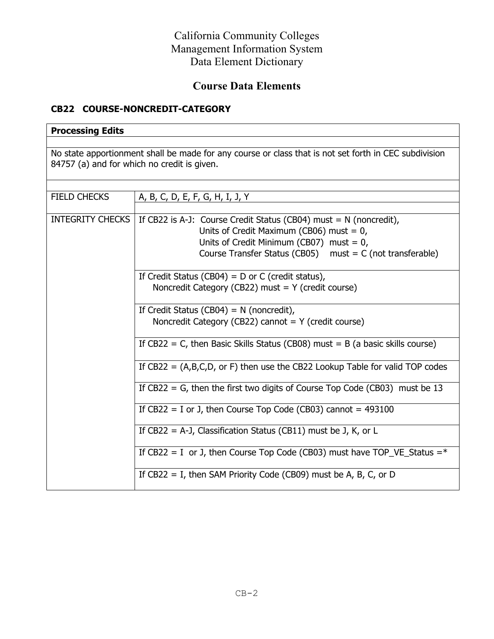# **Course Data Elements**

#### **CB22 COURSE-NONCREDIT-CATEGORY**

### **Processing Edits**

No state apportionment shall be made for any course or class that is not set forth in CEC subdivision 84757 (a) and for which no credit is given.

| FIELD CHECKS | A, B, C, D, E, F, G, H, I, J, Y                                                        |  |
|--------------|----------------------------------------------------------------------------------------|--|
|              |                                                                                        |  |
|              | INTEGRITY CHECKS   If CB22 is A-J: Course Credit Status (CB04) must = $N$ (noncredit), |  |
|              | Units of Credit Maximum (CB06) must = $0$ ,                                            |  |
|              | Units of Credit Minimum (CB07) must = $0$ ,                                            |  |
|              | Course Transfer Status (CB05) $must = C$ (not transferable)                            |  |
|              |                                                                                        |  |
|              | If Credit Status (CB04) = $D$ or C (credit status),                                    |  |
|              | Noncredit Category (CB22) must = $Y$ (credit course)                                   |  |
|              |                                                                                        |  |
|              | If Credit Status (CB04) = $N$ (noncredit),                                             |  |
|              | Noncredit Category (CB22) cannot $= Y$ (credit course)                                 |  |
|              |                                                                                        |  |
|              | If $CB22 = C$ , then Basic Skills Status (CB08) must = B (a basic skills course)       |  |
|              | If $CB22 = (A,B,C,D,$ or F) then use the CB22 Lookup Table for valid TOP codes         |  |
|              | If CB22 = G, then the first two digits of Course Top Code (CB03) must be 13            |  |
|              | If $CB22 = I$ or J, then Course Top Code (CB03) cannot = 493100                        |  |
|              | If CB22 = A-J, Classification Status (CB11) must be J, K, or L                         |  |
|              | If CB22 = I or J, then Course Top Code (CB03) must have TOP_VE_Status = $*$            |  |
|              | If $CB22 = I$ , then SAM Priority Code (CB09) must be A, B, C, or D                    |  |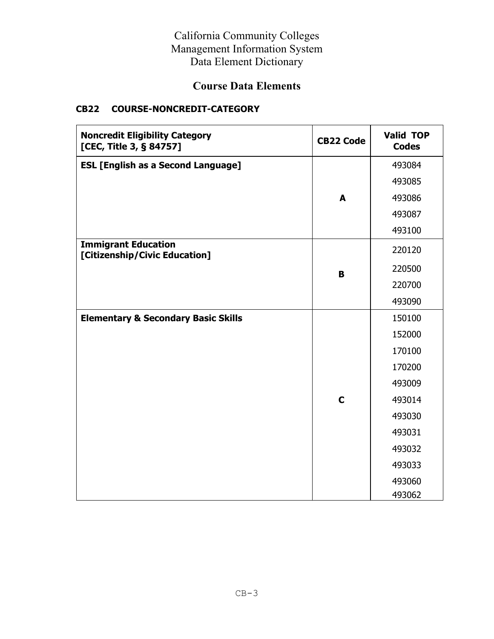## **Course Data Elements**

### **CB22 COURSE-NONCREDIT-CATEGORY**

| <b>Noncredit Eligibility Category</b><br>[CEC, Title 3, § 84757] | <b>CB22 Code</b> | <b>Valid TOP</b><br><b>Codes</b> |
|------------------------------------------------------------------|------------------|----------------------------------|
| <b>ESL [English as a Second Language]</b>                        |                  | 493084                           |
|                                                                  |                  | 493085                           |
|                                                                  | A                | 493086                           |
|                                                                  |                  | 493087                           |
|                                                                  |                  | 493100                           |
| <b>Immigrant Education</b><br>[Citizenship/Civic Education]      |                  | 220120                           |
|                                                                  | B                | 220500                           |
|                                                                  |                  | 220700                           |
|                                                                  |                  | 493090                           |
| <b>Elementary &amp; Secondary Basic Skills</b>                   |                  | 150100                           |
|                                                                  |                  | 152000                           |
|                                                                  |                  | 170100                           |
|                                                                  |                  | 170200                           |
|                                                                  |                  | 493009                           |
|                                                                  | $\mathbf C$      | 493014                           |
|                                                                  |                  | 493030                           |
|                                                                  |                  | 493031                           |
|                                                                  |                  | 493032                           |
|                                                                  |                  | 493033                           |
|                                                                  |                  | 493060                           |
|                                                                  |                  | 493062                           |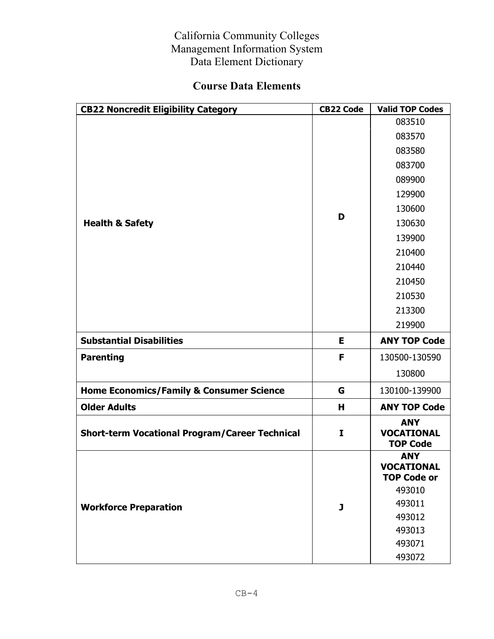# **Course Data Elements**

| <b>CB22 Noncredit Eligibility Category</b>            | <b>CB22 Code</b> | <b>Valid TOP Codes</b>                                |
|-------------------------------------------------------|------------------|-------------------------------------------------------|
|                                                       |                  | 083510                                                |
|                                                       | D                | 083570                                                |
|                                                       |                  | 083580                                                |
|                                                       |                  | 083700                                                |
|                                                       |                  | 089900                                                |
|                                                       |                  | 129900                                                |
|                                                       |                  | 130600                                                |
| <b>Health &amp; Safety</b>                            |                  | 130630                                                |
|                                                       |                  | 139900                                                |
|                                                       |                  | 210400                                                |
|                                                       |                  | 210440                                                |
|                                                       |                  | 210450                                                |
|                                                       |                  | 210530                                                |
|                                                       |                  | 213300                                                |
|                                                       |                  | 219900                                                |
|                                                       |                  |                                                       |
| <b>Substantial Disabilities</b>                       | E                | <b>ANY TOP Code</b>                                   |
| <b>Parenting</b>                                      | F                | 130500-130590                                         |
|                                                       |                  | 130800                                                |
| <b>Home Economics/Family &amp; Consumer Science</b>   | G                | 130100-139900                                         |
| <b>Older Adults</b>                                   | н                | <b>ANY TOP Code</b>                                   |
| <b>Short-term Vocational Program/Career Technical</b> | I                | <b>ANY</b><br><b>VOCATIONAL</b><br><b>TOP Code</b>    |
|                                                       |                  | <b>ANY</b><br><b>VOCATIONAL</b><br><b>TOP Code or</b> |
|                                                       |                  | 493010                                                |
| <b>Workforce Preparation</b>                          | J                | 493011                                                |
|                                                       |                  | 493012                                                |
|                                                       |                  | 493013                                                |
|                                                       |                  | 493071<br>493072                                      |